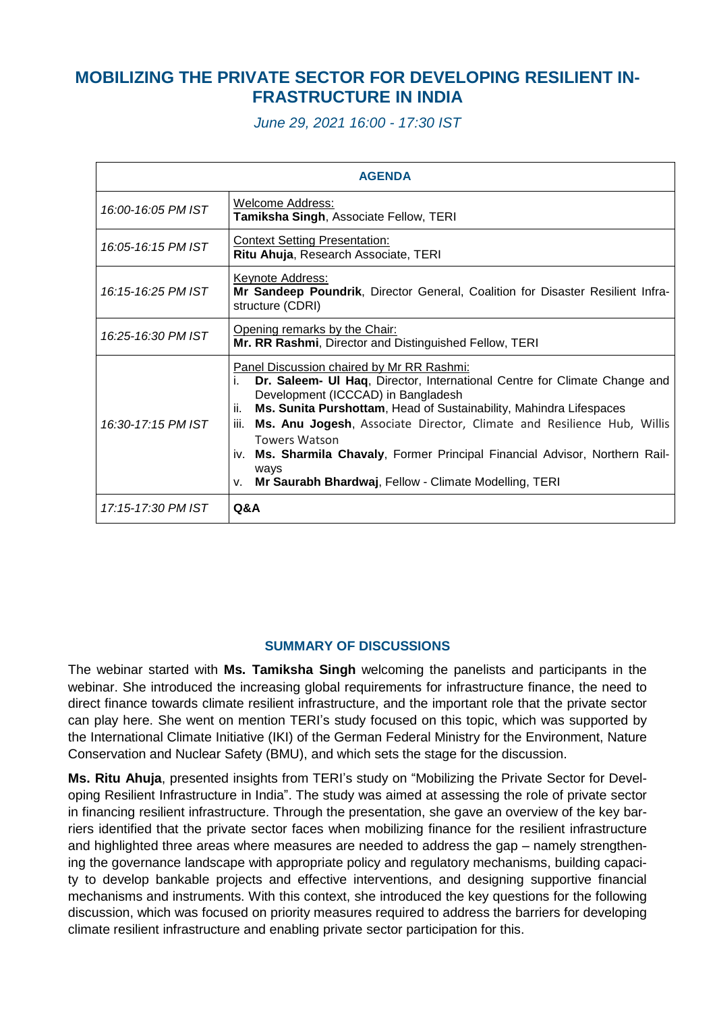## **MOBILIZING THE PRIVATE SECTOR FOR DEVELOPING RESILIENT IN-FRASTRUCTURE IN INDIA**

*June 29, 2021 16:00 - 17:30 IST*

| <b>AGENDA</b>      |                                                                                                                                                                                                                                                                                                                                                                                                                                                                                                                  |
|--------------------|------------------------------------------------------------------------------------------------------------------------------------------------------------------------------------------------------------------------------------------------------------------------------------------------------------------------------------------------------------------------------------------------------------------------------------------------------------------------------------------------------------------|
| 16:00-16:05 PM IST | Welcome Address:<br>Tamiksha Singh, Associate Fellow, TERI                                                                                                                                                                                                                                                                                                                                                                                                                                                       |
| 16:05-16:15 PM IST | <b>Context Setting Presentation:</b><br>Ritu Ahuja, Research Associate, TERI                                                                                                                                                                                                                                                                                                                                                                                                                                     |
| 16:15-16:25 PM IST | Keynote Address:<br>Mr Sandeep Poundrik, Director General, Coalition for Disaster Resilient Infra-<br>structure (CDRI)                                                                                                                                                                                                                                                                                                                                                                                           |
| 16:25-16:30 PM IST | Opening remarks by the Chair:<br>Mr. RR Rashmi, Director and Distinguished Fellow, TERI                                                                                                                                                                                                                                                                                                                                                                                                                          |
| 16:30-17:15 PM IST | Panel Discussion chaired by Mr RR Rashmi:<br>Dr. Saleem- UI Haq, Director, International Centre for Climate Change and<br>İ.<br>Development (ICCCAD) in Bangladesh<br>Ms. Sunita Purshottam, Head of Sustainability, Mahindra Lifespaces<br>ii.<br>iii.<br>Ms. Anu Jogesh, Associate Director, Climate and Resilience Hub, Willis<br><b>Towers Watson</b><br>iv. Ms. Sharmila Chavaly, Former Principal Financial Advisor, Northern Rail-<br>ways<br>Mr Saurabh Bhardwaj, Fellow - Climate Modelling, TERI<br>V. |
| 17:15-17:30 PM IST | <b>Q&amp;A</b>                                                                                                                                                                                                                                                                                                                                                                                                                                                                                                   |

## **SUMMARY OF DISCUSSIONS**

The webinar started with **Ms. Tamiksha Singh** welcoming the panelists and participants in the webinar. She introduced the increasing global requirements for infrastructure finance, the need to direct finance towards climate resilient infrastructure, and the important role that the private sector can play here. She went on mention TERI's study focused on this topic, which was supported by the International Climate Initiative (IKI) of the German Federal Ministry for the Environment, Nature Conservation and Nuclear Safety (BMU), and which sets the stage for the discussion.

**Ms. Ritu Ahuja**, presented insights from TERI's study on "Mobilizing the Private Sector for Developing Resilient Infrastructure in India". The study was aimed at assessing the role of private sector in financing resilient infrastructure. Through the presentation, she gave an overview of the key barriers identified that the private sector faces when mobilizing finance for the resilient infrastructure and highlighted three areas where measures are needed to address the gap – namely strengthening the governance landscape with appropriate policy and regulatory mechanisms, building capacity to develop bankable projects and effective interventions, and designing supportive financial mechanisms and instruments. With this context, she introduced the key questions for the following discussion, which was focused on priority measures required to address the barriers for developing climate resilient infrastructure and enabling private sector participation for this.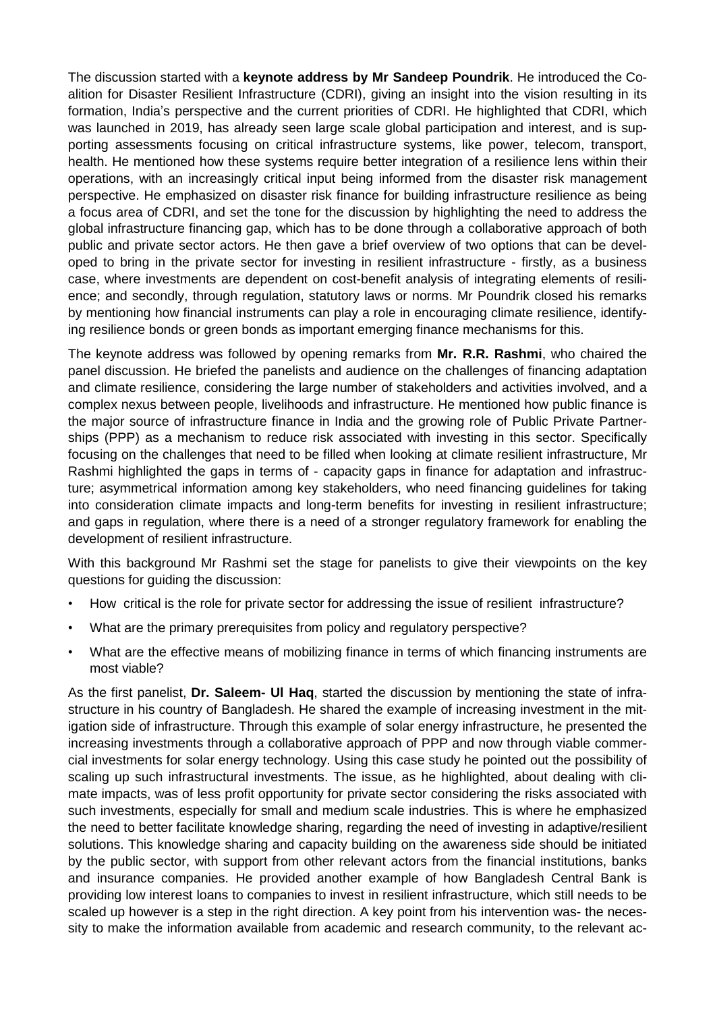The discussion started with a **keynote address by Mr Sandeep Poundrik**. He introduced the Coalition for Disaster Resilient Infrastructure (CDRI), giving an insight into the vision resulting in its formation, India's perspective and the current priorities of CDRI. He highlighted that CDRI, which was launched in 2019, has already seen large scale global participation and interest, and is supporting assessments focusing on critical infrastructure systems, like power, telecom, transport, health. He mentioned how these systems require better integration of a resilience lens within their operations, with an increasingly critical input being informed from the disaster risk management perspective. He emphasized on disaster risk finance for building infrastructure resilience as being a focus area of CDRI, and set the tone for the discussion by highlighting the need to address the global infrastructure financing gap, which has to be done through a collaborative approach of both public and private sector actors. He then gave a brief overview of two options that can be developed to bring in the private sector for investing in resilient infrastructure - firstly, as a business case, where investments are dependent on cost-benefit analysis of integrating elements of resilience; and secondly, through regulation, statutory laws or norms. Mr Poundrik closed his remarks by mentioning how financial instruments can play a role in encouraging climate resilience, identifying resilience bonds or green bonds as important emerging finance mechanisms for this.

The keynote address was followed by opening remarks from **Mr. R.R. Rashmi**, who chaired the panel discussion. He briefed the panelists and audience on the challenges of financing adaptation and climate resilience, considering the large number of stakeholders and activities involved, and a complex nexus between people, livelihoods and infrastructure. He mentioned how public finance is the major source of infrastructure finance in India and the growing role of Public Private Partnerships (PPP) as a mechanism to reduce risk associated with investing in this sector. Specifically focusing on the challenges that need to be filled when looking at climate resilient infrastructure, Mr Rashmi highlighted the gaps in terms of - capacity gaps in finance for adaptation and infrastructure; asymmetrical information among key stakeholders, who need financing guidelines for taking into consideration climate impacts and long-term benefits for investing in resilient infrastructure; and gaps in regulation, where there is a need of a stronger regulatory framework for enabling the development of resilient infrastructure.

With this background Mr Rashmi set the stage for panelists to give their viewpoints on the key questions for guiding the discussion:

- How critical is the role for private sector for addressing the issue of resilient infrastructure?
- What are the primary prerequisites from policy and regulatory perspective?
- What are the effective means of mobilizing finance in terms of which financing instruments are most viable?

As the first panelist, **Dr. Saleem- Ul Haq**, started the discussion by mentioning the state of infrastructure in his country of Bangladesh. He shared the example of increasing investment in the mitigation side of infrastructure. Through this example of solar energy infrastructure, he presented the increasing investments through a collaborative approach of PPP and now through viable commercial investments for solar energy technology. Using this case study he pointed out the possibility of scaling up such infrastructural investments. The issue, as he highlighted, about dealing with climate impacts, was of less profit opportunity for private sector considering the risks associated with such investments, especially for small and medium scale industries. This is where he emphasized the need to better facilitate knowledge sharing, regarding the need of investing in adaptive/resilient solutions. This knowledge sharing and capacity building on the awareness side should be initiated by the public sector, with support from other relevant actors from the financial institutions, banks and insurance companies. He provided another example of how Bangladesh Central Bank is providing low interest loans to companies to invest in resilient infrastructure, which still needs to be scaled up however is a step in the right direction. A key point from his intervention was- the necessity to make the information available from academic and research community, to the relevant ac-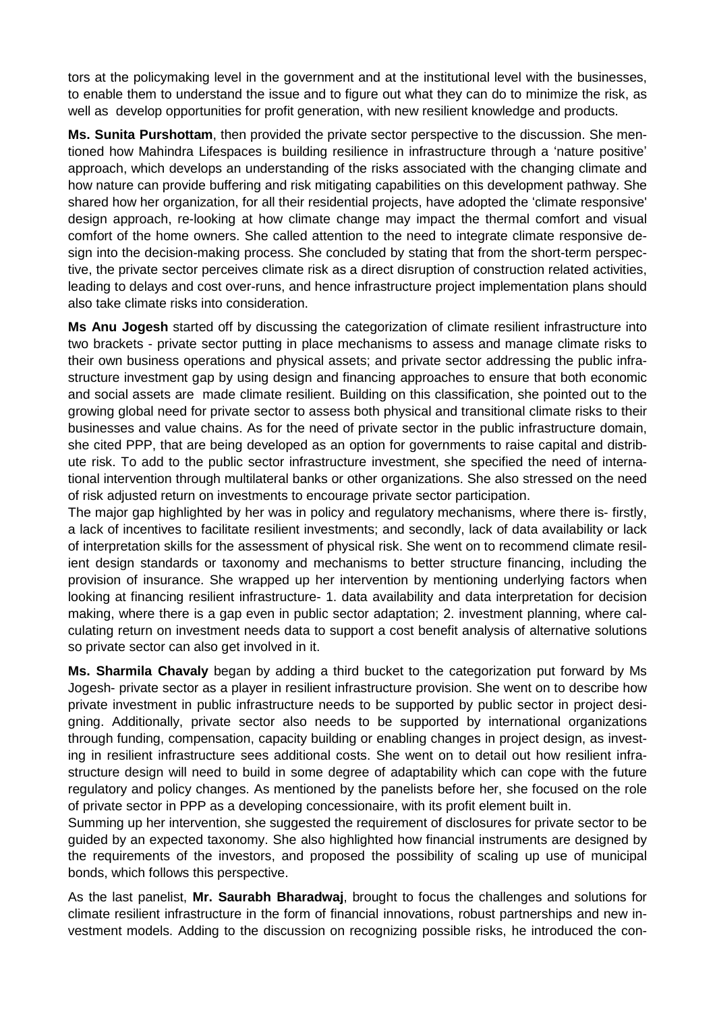tors at the policymaking level in the government and at the institutional level with the businesses, to enable them to understand the issue and to figure out what they can do to minimize the risk, as well as develop opportunities for profit generation, with new resilient knowledge and products.

**Ms. Sunita Purshottam**, then provided the private sector perspective to the discussion. She mentioned how Mahindra Lifespaces is building resilience in infrastructure through a 'nature positive' approach, which develops an understanding of the risks associated with the changing climate and how nature can provide buffering and risk mitigating capabilities on this development pathway. She shared how her organization, for all their residential projects, have adopted the 'climate responsive' design approach, re-looking at how climate change may impact the thermal comfort and visual comfort of the home owners. She called attention to the need to integrate climate responsive design into the decision-making process. She concluded by stating that from the short-term perspective, the private sector perceives climate risk as a direct disruption of construction related activities, leading to delays and cost over-runs, and hence infrastructure project implementation plans should also take climate risks into consideration.

**Ms Anu Jogesh** started off by discussing the categorization of climate resilient infrastructure into two brackets - private sector putting in place mechanisms to assess and manage climate risks to their own business operations and physical assets; and private sector addressing the public infrastructure investment gap by using design and financing approaches to ensure that both economic and social assets are made climate resilient. Building on this classification, she pointed out to the growing global need for private sector to assess both physical and transitional climate risks to their businesses and value chains. As for the need of private sector in the public infrastructure domain, she cited PPP, that are being developed as an option for governments to raise capital and distribute risk. To add to the public sector infrastructure investment, she specified the need of international intervention through multilateral banks or other organizations. She also stressed on the need of risk adjusted return on investments to encourage private sector participation.

The major gap highlighted by her was in policy and regulatory mechanisms, where there is- firstly, a lack of incentives to facilitate resilient investments; and secondly, lack of data availability or lack of interpretation skills for the assessment of physical risk. She went on to recommend climate resilient design standards or taxonomy and mechanisms to better structure financing, including the provision of insurance. She wrapped up her intervention by mentioning underlying factors when looking at financing resilient infrastructure- 1. data availability and data interpretation for decision making, where there is a gap even in public sector adaptation; 2. investment planning, where calculating return on investment needs data to support a cost benefit analysis of alternative solutions so private sector can also get involved in it.

**Ms. Sharmila Chavaly** began by adding a third bucket to the categorization put forward by Ms Jogesh- private sector as a player in resilient infrastructure provision. She went on to describe how private investment in public infrastructure needs to be supported by public sector in project designing. Additionally, private sector also needs to be supported by international organizations through funding, compensation, capacity building or enabling changes in project design, as investing in resilient infrastructure sees additional costs. She went on to detail out how resilient infrastructure design will need to build in some degree of adaptability which can cope with the future regulatory and policy changes. As mentioned by the panelists before her, she focused on the role of private sector in PPP as a developing concessionaire, with its profit element built in.

Summing up her intervention, she suggested the requirement of disclosures for private sector to be guided by an expected taxonomy. She also highlighted how financial instruments are designed by the requirements of the investors, and proposed the possibility of scaling up use of municipal bonds, which follows this perspective.

As the last panelist, **Mr. Saurabh Bharadwaj**, brought to focus the challenges and solutions for climate resilient infrastructure in the form of financial innovations, robust partnerships and new investment models. Adding to the discussion on recognizing possible risks, he introduced the con-